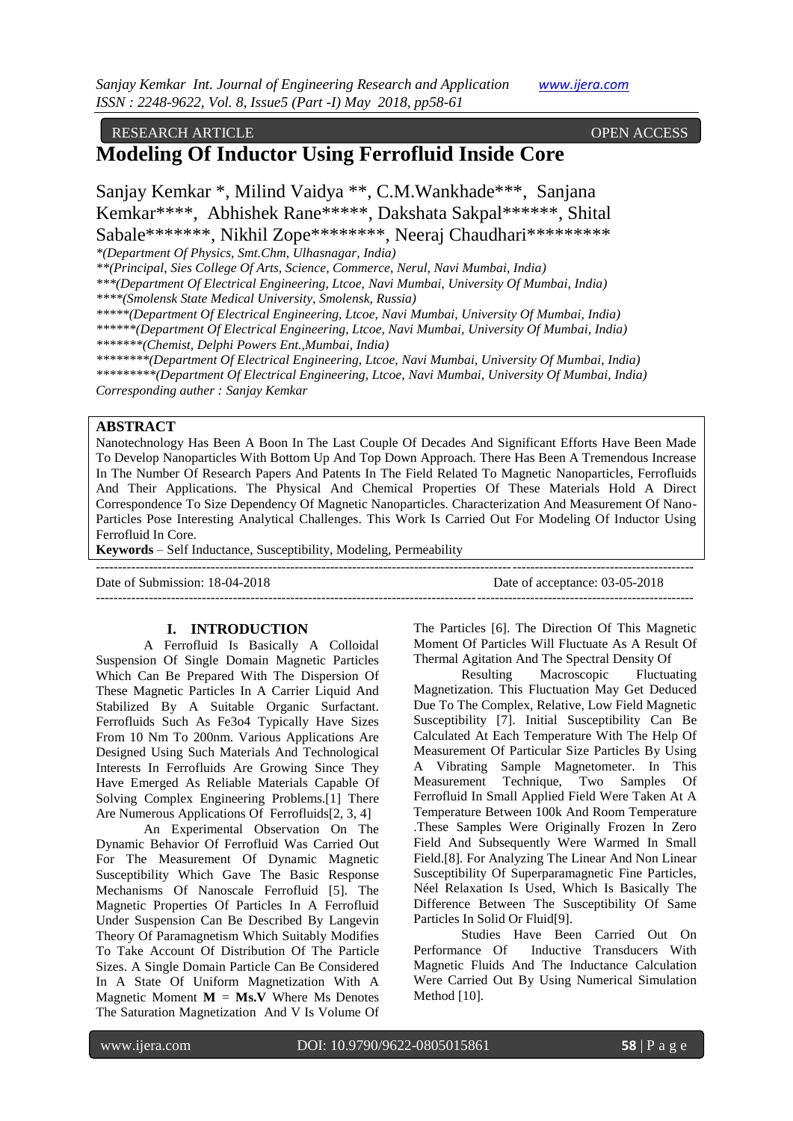#### RESEARCH ARTICLE **CONTRACT ARTICLE**

## **Modeling Of Inductor Using Ferrofluid Inside Core**

Sanjay Kemkar \*, Milind Vaidya \*\*, C.M.Wankhade\*\*\*, Sanjana Kemkar\*\*\*\*, Abhishek Rane\*\*\*\*\*, Dakshata Sakpal\*\*\*\*\*\*, Shital Sabale\*\*\*\*\*\*\*, Nikhil Zope\*\*\*\*\*\*\*\*, Neeraj Chaudhari\*\*\*\*\*\*\*\*\*

*\*(Department Of Physics, Smt.Chm, Ulhasnagar, India)*

*\*\*(Principal, Sies College Of Arts, Science, Commerce, Nerul, Navi Mumbai, India)*

*\*\*\*(Department Of Electrical Engineering, Ltcoe, Navi Mumbai, University Of Mumbai, India)*

*\*\*\*\*(Smolensk State Medical University, Smolensk, Russia)*

*\*\*\*\*\*(Department Of Electrical Engineering, Ltcoe, Navi Mumbai, University Of Mumbai, India)*

*\*\*\*\*\*\*(Department Of Electrical Engineering, Ltcoe, Navi Mumbai, University Of Mumbai, India) \*\*\*\*\*\*\*(Chemist, Delphi Powers Ent.,Mumbai, India)*

*\*\*\*\*\*\*\*\*(Department Of Electrical Engineering, Ltcoe, Navi Mumbai, University Of Mumbai, India) \*\*\*\*\*\*\*\*\*(Department Of Electrical Engineering, Ltcoe, Navi Mumbai, University Of Mumbai, India) Corresponding auther : Sanjay Kemkar*

#### **ABSTRACT**

Nanotechnology Has Been A Boon In The Last Couple Of Decades And Significant Efforts Have Been Made To Develop Nanoparticles With Bottom Up And Top Down Approach. There Has Been A Tremendous Increase In The Number Of Research Papers And Patents In The Field Related To Magnetic Nanoparticles, Ferrofluids And Their Applications. The Physical And Chemical Properties Of These Materials Hold A Direct Correspondence To Size Dependency Of Magnetic Nanoparticles. Characterization And Measurement Of Nano-Particles Pose Interesting Analytical Challenges. This Work Is Carried Out For Modeling Of Inductor Using Ferrofluid In Core.

---------------------------------------------------------------------------------------------------------------------------------------

**Keywords** – Self Inductance, Susceptibility, Modeling, Permeability

---------------------------------------------------------------------------------------------------------------------------------------

Date of Submission: 18-04-2018 Date of acceptance: 03-05-2018

#### **I. INTRODUCTION**

A Ferrofluid Is Basically A Colloidal Suspension Of Single Domain Magnetic Particles Which Can Be Prepared With The Dispersion Of These Magnetic Particles In A Carrier Liquid And Stabilized By A Suitable Organic Surfactant. Ferrofluids Such As Fe3o4 Typically Have Sizes From 10 Nm To 200nm. Various Applications Are Designed Using Such Materials And Technological Interests In Ferrofluids Are Growing Since They Have Emerged As Reliable Materials Capable Of Solving Complex Engineering Problems.[1] There Are Numerous Applications Of Ferrofluids[2, 3, 4]

An Experimental Observation On The Dynamic Behavior Of Ferrofluid Was Carried Out For The Measurement Of Dynamic Magnetic Susceptibility Which Gave The Basic Response Mechanisms Of Nanoscale Ferrofluid [5]. The Magnetic Properties Of Particles In A Ferrofluid Under Suspension Can Be Described By Langevin Theory Of Paramagnetism Which Suitably Modifies To Take Account Of Distribution Of The Particle Sizes. A Single Domain Particle Can Be Considered In A State Of Uniform Magnetization With A Magnetic Moment  $M = Ms.V$  Where Ms Denotes The Saturation Magnetization And V Is Volume Of The Particles [6]. The Direction Of This Magnetic Moment Of Particles Will Fluctuate As A Result Of Thermal Agitation And The Spectral Density Of

Resulting Macroscopic Fluctuating Magnetization. This Fluctuation May Get Deduced Due To The Complex, Relative, Low Field Magnetic Susceptibility [7]. Initial Susceptibility Can Be Calculated At Each Temperature With The Help Of Measurement Of Particular Size Particles By Using A Vibrating Sample Magnetometer. In This Measurement Technique, Two Samples Of Ferrofluid In Small Applied Field Were Taken At A Temperature Between 100k And Room Temperature .These Samples Were Originally Frozen In Zero Field And Subsequently Were Warmed In Small Field.[8]. For Analyzing The Linear And Non Linear Susceptibility Of Superparamagnetic Fine Particles, Néel Relaxation Is Used, Which Is Basically The Difference Between The Susceptibility Of Same Particles In Solid Or Fluid[9].

Studies Have Been Carried Out On Performance Of Inductive Transducers With Magnetic Fluids And The Inductance Calculation Were Carried Out By Using Numerical Simulation Method [10].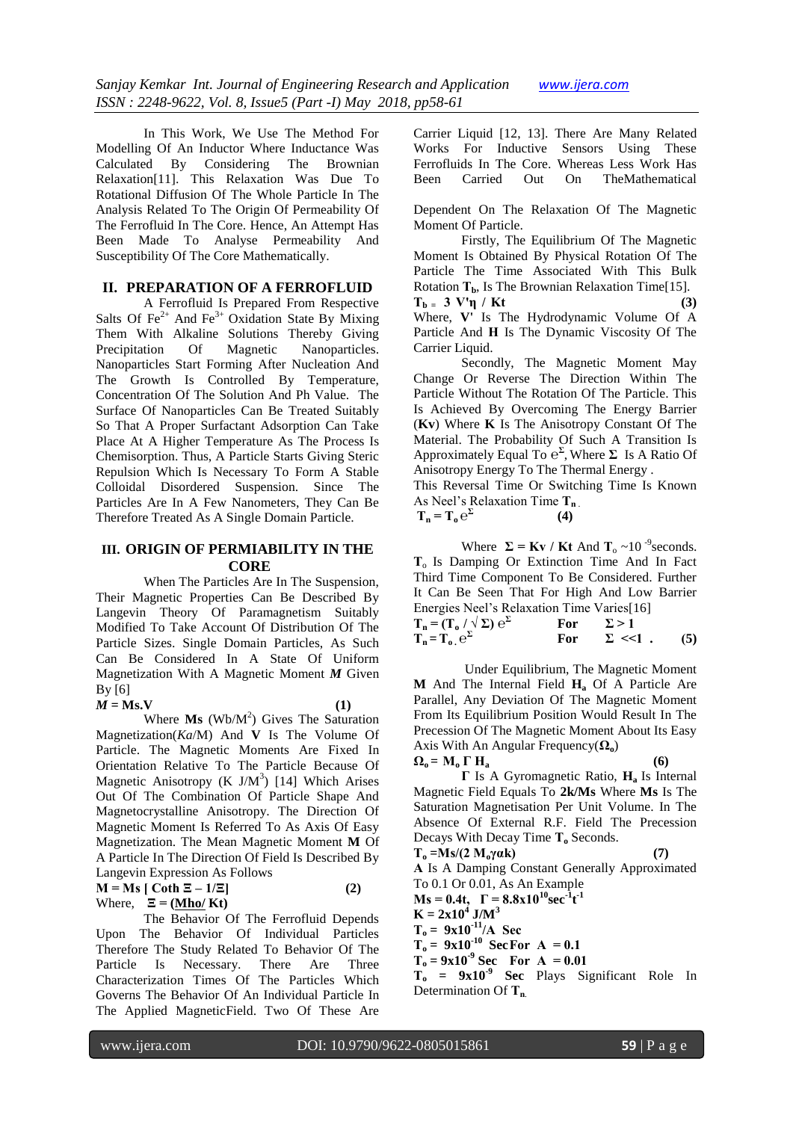In This Work, We Use The Method For Modelling Of An Inductor Where Inductance Was Calculated By Considering The Brownian Relaxation[11]. This Relaxation Was Due To Rotational Diffusion Of The Whole Particle In The Analysis Related To The Origin Of Permeability Of The Ferrofluid In The Core. Hence, An Attempt Has Been Made To Analyse Permeability And Susceptibility Of The Core Mathematically.

#### **II. PREPARATION OF A FERROFLUID**

A Ferrofluid Is Prepared From Respective Salts Of Fe<sup>2+</sup> And Fe<sup>3+</sup> Oxidation State By Mixing Them With Alkaline Solutions Thereby Giving Precipitation Of Magnetic Nanoparticles. Nanoparticles Start Forming After Nucleation And The Growth Is Controlled By Temperature, Concentration Of The Solution And Ph Value. The Surface Of Nanoparticles Can Be Treated Suitably So That A Proper Surfactant Adsorption Can Take Place At A Higher Temperature As The Process Is Chemisorption. Thus, A Particle Starts Giving Steric Repulsion Which Is Necessary To Form A Stable Colloidal Disordered Suspension. Since The Particles Are In A Few Nanometers, They Can Be Therefore Treated As A Single Domain Particle.

#### **III. ORIGIN OF PERMIABILITY IN THE CORE**

When The Particles Are In The Suspension, Their Magnetic Properties Can Be Described By Langevin Theory Of Paramagnetism Suitably Modified To Take Account Of Distribution Of The Particle Sizes. Single Domain Particles, As Such Can Be Considered In A State Of Uniform Magnetization With A Magnetic Moment *M* Given By [6]

 $M = Ms$ .  $V$  (1)

Where  $\mathbf{M}\mathbf{s}$  (Wb/ $\mathbf{M}^2$ ) Gives The Saturation Magnetization(*Ka*/M) And **V** Is The Volume Of Particle. The Magnetic Moments Are Fixed In Orientation Relative To The Particle Because Of Magnetic Anisotropy (K  $J/M^3$ ) [14] Which Arises Out Of The Combination Of Particle Shape And Magnetocrystalline Anisotropy. The Direction Of Magnetic Moment Is Referred To As Axis Of Easy Magnetization. The Mean Magnetic Moment **M** Of A Particle In The Direction Of Field Is Described By Langevin Expression As Follows  $M = Ms$  [ Coth  $\Xi - 1/\Xi$ ] (2)

$$
W = MS \text{ [Cott 2 - 1/2]}
$$
  
Where,  $\Xi = (\text{Mho/Kt})$ 

The Behavior Of The Ferrofluid Depends Upon The Behavior Of Individual Particles Therefore The Study Related To Behavior Of The Particle Is Necessary. There Are Three Characterization Times Of The Particles Which Governs The Behavior Of An Individual Particle In The Applied MagneticField. Two Of These Are Carrier Liquid [12, 13]. There Are Many Related Works For Inductive Sensors Using These Ferrofluids In The Core. Whereas Less Work Has Been Carried Out On TheMathematical

Dependent On The Relaxation Of The Magnetic Moment Of Particle.

Firstly, The Equilibrium Of The Magnetic Moment Is Obtained By Physical Rotation Of The Particle The Time Associated With This Bulk Rotation **Τb**, Is The Brownian Relaxation Time[15].  $T_b = 3 \text{ V}'\eta / \text{Kt}$  (3) Where, **V'** Is The Hydrodynamic Volume Of A Particle And **Η** Is The Dynamic Viscosity Of The Carrier Liquid.

Secondly, The Magnetic Moment May Change Or Reverse The Direction Within The Particle Without The Rotation Of The Particle. This Is Achieved By Overcoming The Energy Barrier (**Kv**) Where **K** Is The Anisotropy Constant Of The Material. The Probability Of Such A Transition Is Approximately Equal To **℮ Σ** , Where **Σ** Is A Ratio Of Anisotropy Energy To The Thermal Energy .

This Reversal Time Or Switching Time Is Known As Neel's Relaxation Time **Τ<sup>n</sup>** .  **(4)**

$$
T_n = T_o e^{\Sigma}
$$

Where  $\Sigma = \text{Kv}/\text{Kt}$  And  $T_0 \sim 10^{-9}$  seconds. **Τ**o Is Damping Or Extinction Time And In Fact Third Time Component To Be Considered. Further It Can Be Seen That For High And Low Barrier Energies Neel's Relaxation Time Varies[16]

| $T_n = (T_o / \sqrt{\Sigma}) e^{\Sigma}$ | For | $\Sigma > 1$     |     |
|------------------------------------------|-----|------------------|-----|
| $T_n = T_o e^{\Sigma}$                   | For | $\Sigma \ll 1$ . | (5) |

Under Equilibrium, The Magnetic Moment **M** And The Internal Field **H<sup>a</sup>** Of A Particle Are Parallel, Any Deviation Of The Magnetic Moment From Its Equilibrium Position Would Result In The Precession Of The Magnetic Moment About Its Easy Axis With An Angular Frequency(**Ωo**)

$$
\Omega_0 = M_0 \Gamma H_a \tag{6}
$$

**Γ** Is A Gyromagnetic Ratio, **Ha** Is Internal Magnetic Field Equals To **2k/Ms** Where **Ms** Is The Saturation Magnetisation Per Unit Volume. In The Absence Of External R.F. Field The Precession Decays With Decay Time **Τ<sup>o</sup>** Seconds.

 $T_o = Ms/(2 M_o \gamma \alpha k)$  (7) **Α** Is A Damping Constant Generally Approximated To 0.1 Or 0.01, As An Example **Ms** = 0.4t,  $\Gamma = 8.8 \times 10^{10} \text{sec}^{-1} t^{-1}$  $K = 2x10^4$  J/M<sup>3</sup>  $T_o = 9x10^{-11}/A$  Sec  $T_o = 9x10^{-10}$  **SecFor A = 0.1** 

 $T_o = 9x10^{-9}$  Sec **For**  $A = 0.01$ 

**Τ<sup>o</sup> = 9x10-9 Sec** Plays Significant Role In Determination Of **Τn**.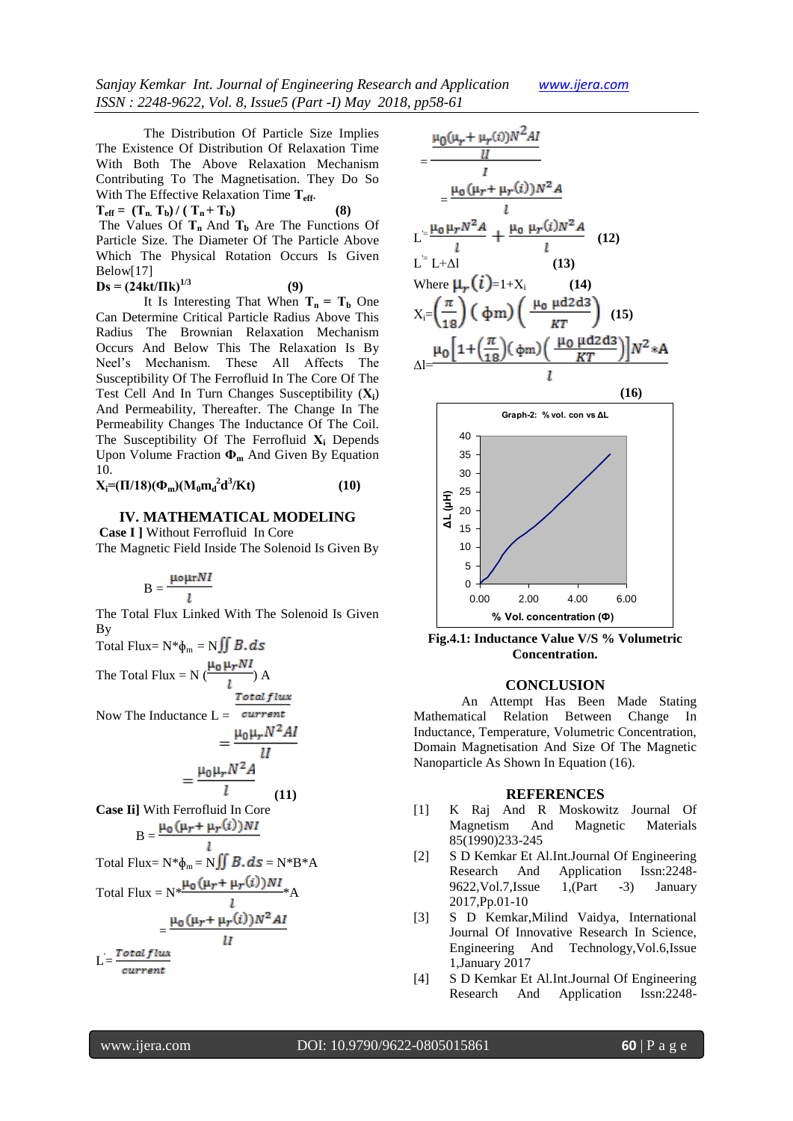*Sanjay Kemkar Int. Journal of Engineering Research and Application www.ijera.com ISSN : 2248-9622, Vol. 8, Issue5 (Part -I) May 2018, pp58-61*

The Distribution Of Particle Size Implies The Existence Of Distribution Of Relaxation Time With Both The Above Relaxation Mechanism Contributing To The Magnetisation. They Do So With The Effective Relaxation Time **Τeff** .

 $T_{\text{eff}} = (T_{\text{n}} \ T_{\text{b}}) / (T_{\text{n}} + T_{\text{b}})$  (8) The Values Of **Τn** And **Τ<sup>b</sup>** Are The Functions Of Particle Size. The Diameter Of The Particle Above Which The Physical Rotation Occurs Is Given Below[17]

 $\mathbf{D}\mathbf{s} = (24\text{kt}/\text{Hk})^{1/3}$  (9) It Is Interesting That When  $T_n = T_b$  One

Can Determine Critical Particle Radius Above This Radius The Brownian Relaxation Mechanism Occurs And Below This The Relaxation Is By Neel's Mechanism. These All Affects The Susceptibility Of The Ferrofluid In The Core Of The Test Cell And In Turn Changes Susceptibility (**Χi**) And Permeability, Thereafter. The Change In The Permeability Changes The Inductance Of The Coil. The Susceptibility Of The Ferrofluid **Χ<sup>i</sup>** Depends Upon Volume Fraction **Ф<sup>m</sup>** And Given By Equation 10.

**X**<sub>i</sub>=( $\Pi/18$ )( $\Phi_{\rm m}$ )( $M_0 m_{\rm d}^2 d^3$ /**K**t) (10)

### **IV. MATHEMATICAL MODELING Case I ]** Without Ferrofluid In Core

The Magnetic Field Inside The Solenoid Is Given By

# $B = \frac{\mu_0 \mu r N l}{l}$

The Total Flux Linked With The Solenoid Is Given By Total Flux=  $N^*\phi_m = N \iint B \, d\mathbf{s}$ 

The Total Flux = N 
$$
\left(\frac{\mu_0 \mu_r NI}{l}\right)
$$
 A  
Now The Inductance L =  $\frac{Total flux}{current}$ 

$$
=\frac{\mu_0\mu_rN^2A}{l}
$$

 **(11) Case Ii]** With Ferrofluid In Core

$$
B = \frac{\mu_0 (\mu_r + \mu_r(i))NI}{l}
$$
  
Total Flux = N\* $\Phi_m$  = N $\iint$  B. ds = N\* $B$ \*A  
Total Flux = N\* $\frac{\mu_0 (\mu_r + \mu_r(i))NI}{l}$ \*A  
=  $\frac{\mu_0 (\mu_r + \mu_r(i))N^2 AI}{l}$ 

L = current



**Fig.4.1: Inductance Value V/S % Volumetric Concentration.**

**% Vol. concentration (Ф)**

#### **CONCLUSION**

An Attempt Has Been Made Stating Mathematical Relation Between Change In Inductance, Temperature, Volumetric Concentration, Domain Magnetisation And Size Of The Magnetic Nanoparticle As Shown In Equation (16).

#### **REFERENCES**

- [1] K Raj And R Moskowitz Journal Of Magnetism And Magnetic Materials 85(1990)233-245
- [2] S D Kemkar Et Al.Int.Journal Of Engineering Research And Application Issn:2248- 9622,Vol.7,Issue 1,(Part -3) January 2017,Pp.01-10
- [3] S D Kemkar,Milind Vaidya, International Journal Of Innovative Research In Science, Engineering And Technology,Vol.6,Issue 1,January 2017
- [4] S D Kemkar Et Al.Int.Journal Of Engineering Research And Application Issn:2248-